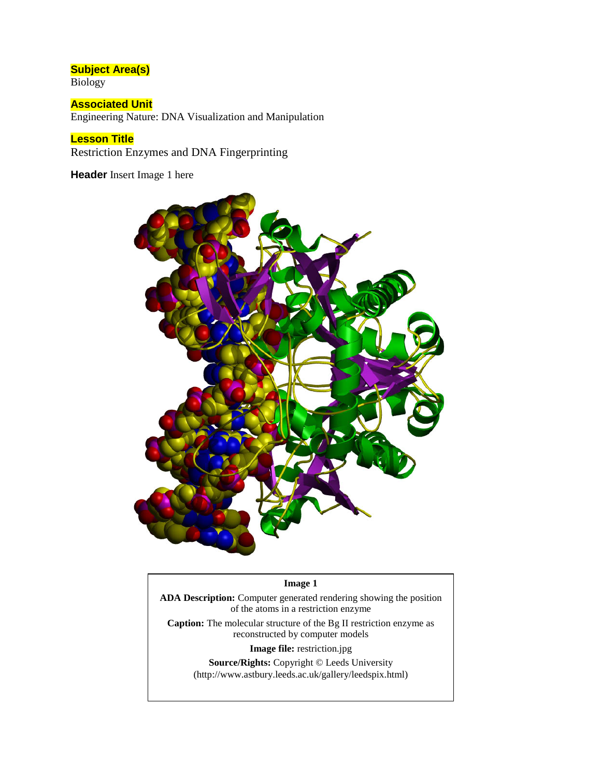**Subject Area(s)** Biology

**Associated Unit** Engineering Nature: DNA Visualization and Manipulation

**Lesson Title** Restriction Enzymes and DNA Fingerprinting

**Header** Insert Image 1 here



**Image 1 ADA Description:** Computer generated rendering showing the position of the atoms in a restriction enzyme **Caption:** The molecular structure of the Bg II restriction enzyme as reconstructed by computer models **Image file:** restriction.jpg **Source/Rights:** Copyright © Leeds University (http://www.astbury.leeds.ac.uk/gallery/leedspix.html)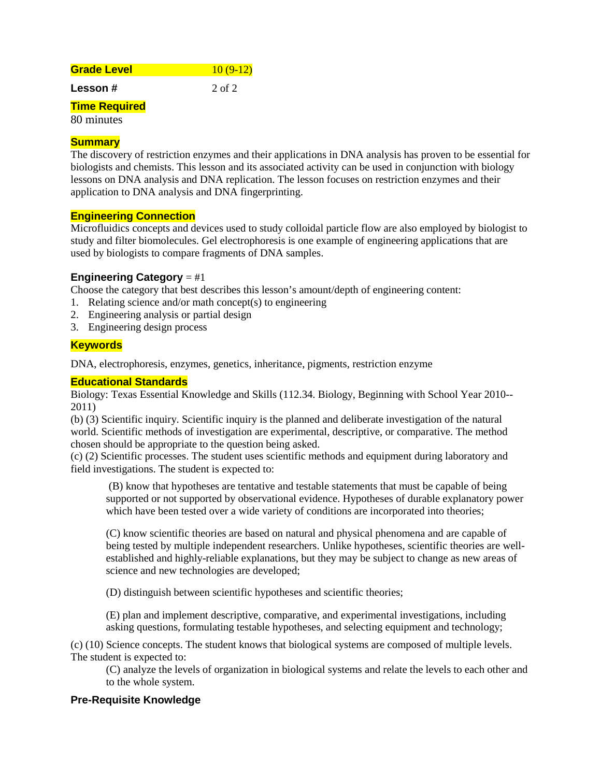| <b>Grade Level</b> | $10(9-12)$ |
|--------------------|------------|
| Lesson #           | 2 of 2     |

# **Time Required**

80 minutes

## **Summary**

The discovery of restriction enzymes and their applications in DNA analysis has proven to be essential for biologists and chemists. This lesson and its associated activity can be used in conjunction with biology lessons on DNA analysis and DNA replication. The lesson focuses on restriction enzymes and their application to DNA analysis and DNA fingerprinting.

# **Engineering Connection**

Microfluidics concepts and devices used to study colloidal particle flow are also employed by biologist to study and filter biomolecules. Gel electrophoresis is one example of engineering applications that are used by biologists to compare fragments of DNA samples.

# **Engineering Category** = #1

Choose the category that best describes this lesson's amount/depth of engineering content:

- 1. Relating science and/or math concept(s) to engineering
- 2. Engineering analysis or partial design
- 3. Engineering design process

# **Keywords**

DNA, electrophoresis, enzymes, genetics, inheritance, pigments, restriction enzyme

### **Educational Standards**

Biology: Texas Essential Knowledge and Skills (112.34. Biology, Beginning with School Year 2010-- 2011)

(b) (3) Scientific inquiry. Scientific inquiry is the planned and deliberate investigation of the natural world. Scientific methods of investigation are experimental, descriptive, or comparative. The method chosen should be appropriate to the question being asked.

(c) (2) Scientific processes. The student uses scientific methods and equipment during laboratory and field investigations. The student is expected to:

(B) know that hypotheses are tentative and testable statements that must be capable of being supported or not supported by observational evidence. Hypotheses of durable explanatory power which have been tested over a wide variety of conditions are incorporated into theories;

(C) know scientific theories are based on natural and physical phenomena and are capable of being tested by multiple independent researchers. Unlike hypotheses, scientific theories are wellestablished and highly-reliable explanations, but they may be subject to change as new areas of science and new technologies are developed;

(D) distinguish between scientific hypotheses and scientific theories;

(E) plan and implement descriptive, comparative, and experimental investigations, including asking questions, formulating testable hypotheses, and selecting equipment and technology;

(c) (10) Science concepts. The student knows that biological systems are composed of multiple levels. The student is expected to:

(C) analyze the levels of organization in biological systems and relate the levels to each other and to the whole system.

### **Pre-Requisite Knowledge**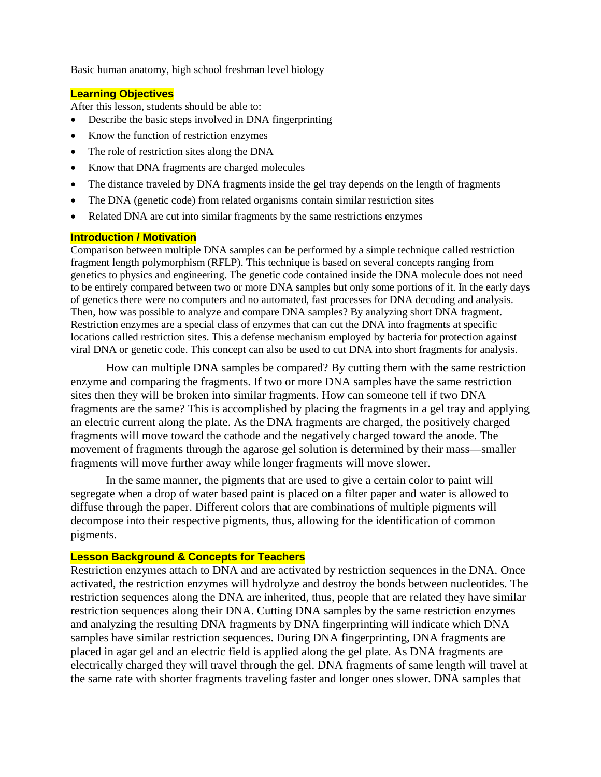Basic human anatomy, high school freshman level biology

#### **Learning Objectives**

After this lesson, students should be able to:

- Describe the basic steps involved in DNA fingerprinting
- Know the function of restriction enzymes
- The role of restriction sites along the DNA
- Know that DNA fragments are charged molecules
- The distance traveled by DNA fragments inside the gel tray depends on the length of fragments
- The DNA (genetic code) from related organisms contain similar restriction sites
- Related DNA are cut into similar fragments by the same restrictions enzymes

# **Introduction / Motivation**

Comparison between multiple DNA samples can be performed by a simple technique called restriction fragment length polymorphism (RFLP). This technique is based on several concepts ranging from genetics to physics and engineering. The genetic code contained inside the DNA molecule does not need to be entirely compared between two or more DNA samples but only some portions of it. In the early days of genetics there were no computers and no automated, fast processes for DNA decoding and analysis. Then, how was possible to analyze and compare DNA samples? By analyzing short DNA fragment. Restriction enzymes are a special class of enzymes that can cut the DNA into fragments at specific locations called restriction sites. This a defense mechanism employed by bacteria for protection against viral DNA or genetic code. This concept can also be used to cut DNA into short fragments for analysis.

How can multiple DNA samples be compared? By cutting them with the same restriction enzyme and comparing the fragments. If two or more DNA samples have the same restriction sites then they will be broken into similar fragments. How can someone tell if two DNA fragments are the same? This is accomplished by placing the fragments in a gel tray and applying an electric current along the plate. As the DNA fragments are charged, the positively charged fragments will move toward the cathode and the negatively charged toward the anode. The movement of fragments through the agarose gel solution is determined by their mass—smaller fragments will move further away while longer fragments will move slower.

In the same manner, the pigments that are used to give a certain color to paint will segregate when a drop of water based paint is placed on a filter paper and water is allowed to diffuse through the paper. Different colors that are combinations of multiple pigments will decompose into their respective pigments, thus, allowing for the identification of common pigments.

### **Lesson Background & Concepts for Teachers**

Restriction enzymes attach to DNA and are activated by restriction sequences in the DNA. Once activated, the restriction enzymes will hydrolyze and destroy the bonds between nucleotides. The restriction sequences along the DNA are inherited, thus, people that are related they have similar restriction sequences along their DNA. Cutting DNA samples by the same restriction enzymes and analyzing the resulting DNA fragments by DNA fingerprinting will indicate which DNA samples have similar restriction sequences. During DNA fingerprinting, DNA fragments are placed in agar gel and an electric field is applied along the gel plate. As DNA fragments are electrically charged they will travel through the gel. DNA fragments of same length will travel at the same rate with shorter fragments traveling faster and longer ones slower. DNA samples that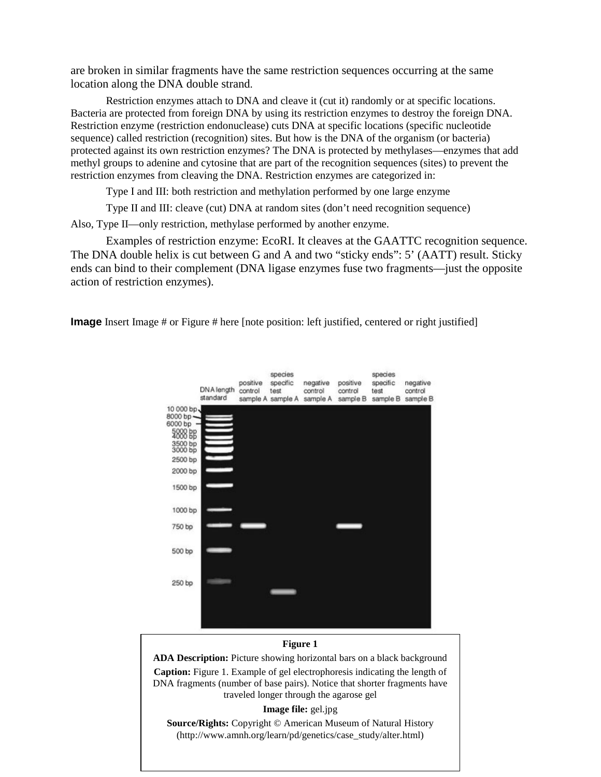are broken in similar fragments have the same restriction sequences occurring at the same location along the DNA double strand.

Restriction enzymes attach to DNA and cleave it (cut it) randomly or at specific locations. Bacteria are protected from foreign DNA by using its restriction enzymes to destroy the foreign DNA. Restriction enzyme (restriction endonuclease) cuts DNA at specific locations (specific nucleotide sequence) called restriction (recognition) sites. But how is the DNA of the organism (or bacteria) protected against its own restriction enzymes? The DNA is protected by methylases—enzymes that add methyl groups to adenine and cytosine that are part of the recognition sequences (sites) to prevent the restriction enzymes from cleaving the DNA. Restriction enzymes are categorized in:

Type I and III: both restriction and methylation performed by one large enzyme

Type II and III: cleave (cut) DNA at random sites (don't need recognition sequence)

Also, Type II—only restriction, methylase performed by another enzyme.

Examples of restriction enzyme: EcoRI. It cleaves at the GAATTC recognition sequence. The DNA double helix is cut between G and A and two "sticky ends": 5' (AATT) result. Sticky ends can bind to their complement (DNA ligase enzymes fuse two fragments—just the opposite action of restriction enzymes).

**Image** Insert Image # or Figure # here [note position: left justified, centered or right justified]



**ADA Description:** Picture showing horizontal bars on a black background **Caption:** Figure 1. Example of gel electrophoresis indicating the length of DNA fragments (number of base pairs). Notice that shorter fragments have traveled longer through the agarose gel

#### **Image file:** gel.jpg

**Source/Rights:** Copyright © American Museum of Natural History (http://www.amnh.org/learn/pd/genetics/case\_study/alter.html)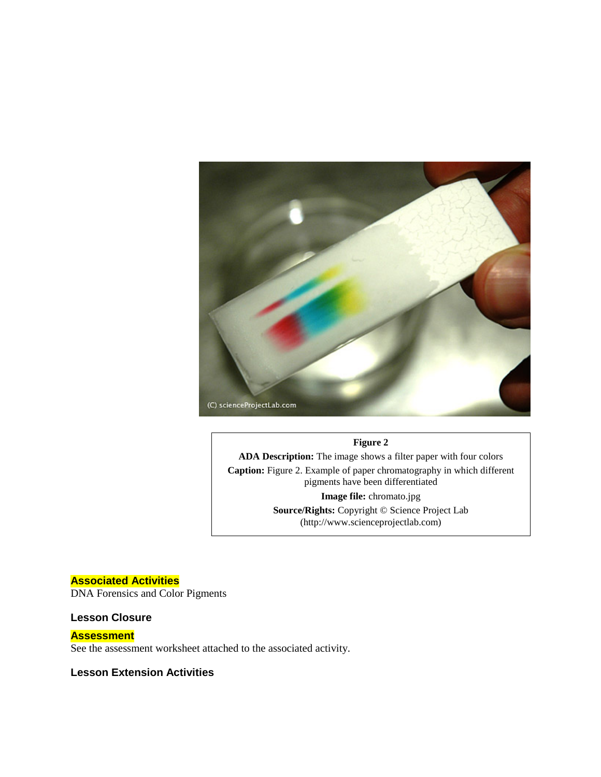

#### **Figure 2**

**ADA Description:** The image shows a filter paper with four colors **Caption:** Figure 2. Example of paper chromatography in which different pigments have been differentiated **Image file:** chromato.jpg **Source/Rights:** Copyright © Science Project Lab (http://www.scienceprojectlab.com)

# **Associated Activities**

DNA Forensics and Color Pigments

# **Lesson Closure**

#### **Assessment**

See the assessment worksheet attached to the associated activity.

# **Lesson Extension Activities**